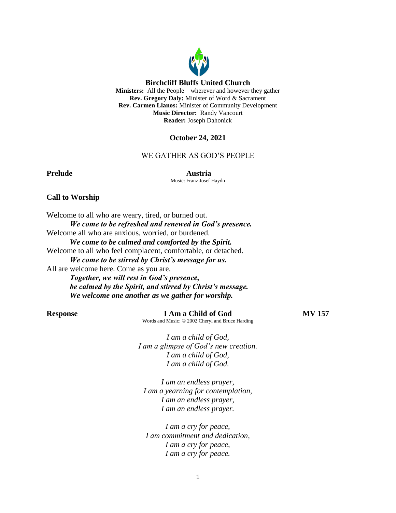

# **October 24, 2021**

**Reader:** Joseph Dahonick

### WE GATHER AS GOD'S PEOPLE

**Prelude Austria** Music: Franz Josef Haydn

### **Call to Worship**

Welcome to all who are weary, tired, or burned out. *We come to be refreshed and renewed in God's presence.* Welcome all who are anxious, worried, or burdened. *We come to be calmed and comforted by the Spirit.* Welcome to all who feel complacent, comfortable, or detached. *We come to be stirred by Christ's message for us.* All are welcome here. Come as you are. *Together, we will rest in God's presence, be calmed by the Spirit, and stirred by Christ's message. We welcome one another as we gather for worship.*

**Response I Am a Child of God MV 157** Words and Music: © 2002 Cheryl and Bruce Harding

*I am a child of God, I am a glimpse of God's new creation. I am a child of God, I am a child of God.*

*I am an endless prayer, I am a yearning for contemplation, I am an endless prayer, I am an endless prayer.*

*I am a cry for peace, I am commitment and dedication, I am a cry for peace, I am a cry for peace.*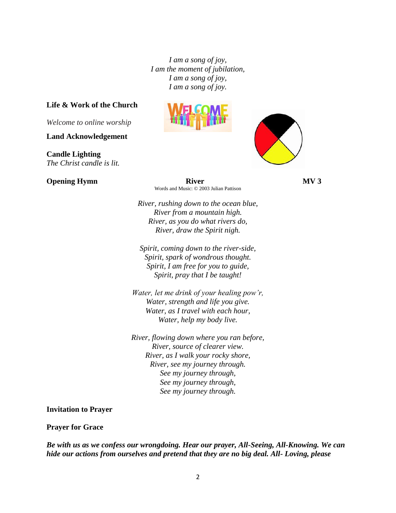*I am a song of joy, I am the moment of jubilation, I am a song of joy, I am a song of joy.*

### **Life & Work of the Church**

*Welcome to online worship*

**Land Acknowledgement**

**Candle Lighting** *The Christ candle is lit.*





**Opening Hymn** River **River MV 3** Words and Music: © 2003 Julian Pattison

> *River, rushing down to the ocean blue, River from a mountain high. River, as you do what rivers do, River, draw the Spirit nigh.*

*Spirit, coming down to the river-side, Spirit, spark of wondrous thought. Spirit, I am free for you to guide, Spirit, pray that I be taught!*

*Water, let me drink of your healing pow'r, Water, strength and life you give. Water, as I travel with each hour, Water, help my body live.*

*River, flowing down where you ran before, River, source of clearer view. River, as I walk your rocky shore, River, see my journey through. See my journey through, See my journey through, See my journey through.*

**Invitation to Prayer**

### **Prayer for Grace**

*Be with us as we confess our wrongdoing. Hear our prayer, All-Seeing, All-Knowing. We can hide our actions from ourselves and pretend that they are no big deal. All- Loving, please*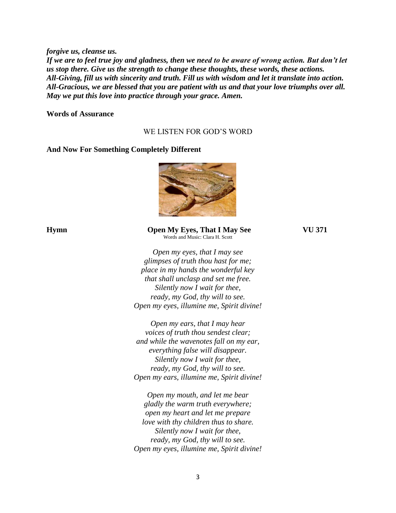*forgive us, cleanse us. If we are to feel true joy and gladness, then we need to be aware of wrong action. But don't let us stop there. Give us the strength to change these thoughts, these words, these actions. All-Giving, fill us with sincerity and truth. Fill us with wisdom and let it translate into action. All-Gracious, we are blessed that you are patient with us and that your love triumphs over all. May we put this love into practice through your grace. Amen.*

**Words of Assurance** 

# WE LISTEN FOR GOD'S WORD

### **And Now For Something Completely Different**



### **Hymn Open My Eyes, That I May See VU 371**  Words and Music: Clara H. Scott

*Open my eyes, that I may see glimpses of truth thou hast for me; place in my hands the wonderful key that shall unclasp and set me free. Silently now I wait for thee, ready, my God, thy will to see. Open my eyes, illumine me, Spirit divine!*

*Open my ears, that I may hear voices of truth thou sendest clear; and while the wavenotes fall on my ear, everything false will disappear. Silently now I wait for thee, ready, my God, thy will to see. Open my ears, illumine me, Spirit divine!*

*Open my mouth, and let me bear gladly the warm truth everywhere; open my heart and let me prepare love with thy children thus to share. Silently now I wait for thee, ready, my God, thy will to see. Open my eyes, illumine me, Spirit divine!*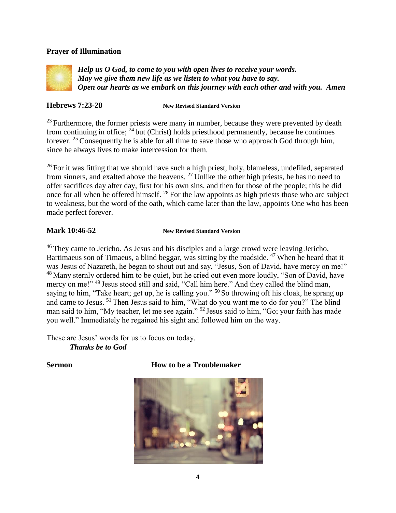# **Prayer of Illumination**



*Help us O God, to come to you with open lives to receive your words. May we give them new life as we listen to what you have to say. Open our hearts as we embark on this journey with each other and with you. Amen*

**Hebrews 7:23-28 New Revised Standard Version**

 $23$  Furthermore, the former priests were many in number, because they were prevented by death from continuing in office;  $^{24}$  but (Christ) holds priesthood permanently, because he continues forever. <sup>25</sup> Consequently he is able for all time to save those who approach God through him, since he always lives to make intercession for them.

<sup>26</sup> For it was fitting that we should have such a high priest, holy, blameless, undefiled, separated from sinners, and exalted above the heavens. <sup>27</sup> Unlike the other high priests, he has no need to offer sacrifices day after day, first for his own sins, and then for those of the people; this he did once for all when he offered himself. <sup>28</sup> For the law appoints as high priests those who are subject to weakness, but the word of the oath, which came later than the law, appoints One who has been made perfect forever.

# **Mark 10:46-52 New Revised Standard Version**

<sup>46</sup> They came to Jericho. As Jesus and his disciples and a large crowd were leaving Jericho, Bartimaeus son of Timaeus, a blind beggar, was sitting by the roadside.  $47$  When he heard that it was Jesus of Nazareth, he began to shout out and say, "Jesus, Son of David, have mercy on me!" <sup>48</sup> Many sternly ordered him to be quiet, but he cried out even more loudly, "Son of David, have mercy on me!" <sup>49</sup> Jesus stood still and said, "Call him here." And they called the blind man, saying to him, "Take heart; get up, he is calling you." <sup>50</sup> So throwing off his cloak, he sprang up and came to Jesus. <sup>51</sup> Then Jesus said to him, "What do you want me to do for you?" The blind man said to him, "My teacher, let me see again." <sup>52</sup> Jesus said to him, "Go; your faith has made you well." Immediately he regained his sight and followed him on the way.

These are Jesus' words for us to focus on today. *Thanks be to God*

# **Sermon How to be a Troublemaker**

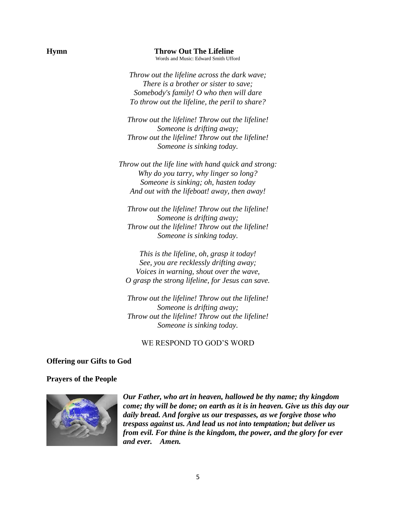**Hymn Throw Out The Lifeline** Words and Music: Edward Smith Ufford

> *Throw out the lifeline across the dark wave; There is a brother or sister to save; Somebody's family! O who then will dare To throw out the lifeline, the peril to share?*

*Throw out the lifeline! Throw out the lifeline! Someone is drifting away; Throw out the lifeline! Throw out the lifeline! Someone is sinking today.*

*Throw out the life line with hand quick and strong: Why do you tarry, why linger so long? Someone is sinking; oh, hasten today And out with the lifeboat! away, then away!*

*Throw out the lifeline! Throw out the lifeline! Someone is drifting away; Throw out the lifeline! Throw out the lifeline! Someone is sinking today.*

*This is the lifeline, oh, grasp it today! See, you are recklessly drifting away; Voices in warning, shout over the wave, O grasp the strong lifeline, for Jesus can save.*

*Throw out the lifeline! Throw out the lifeline! Someone is drifting away; Throw out the lifeline! Throw out the lifeline! Someone is sinking today.*

# WE RESPOND TO GOD'S WORD

### **Offering our Gifts to God**

### **Prayers of the People**



*Our Father, who art in heaven, hallowed be thy name; thy kingdom come; thy will be done; on earth as it is in heaven. Give us this day our daily bread. And forgive us our trespasses, as we forgive those who trespass against us. And lead us not into temptation; but deliver us from evil. For thine is the kingdom, the power, and the glory for ever and ever. Amen.*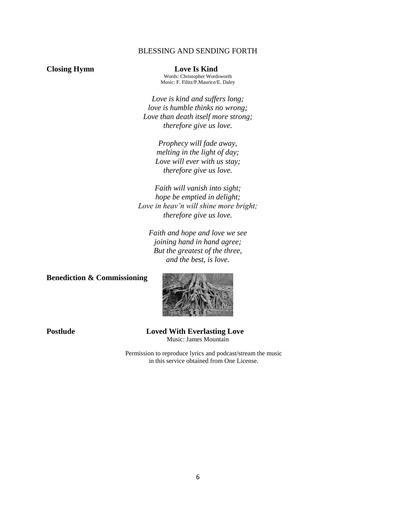# BLESSING AND SENDING FORTH

**Closing Hymn Love Is Kind** Words: Christopher Wordsworth Music: F. Filitz/P.Maurice/E. Daley

> *Love is kind and suffers long; love is humble thinks no wrong; Love than death itself more strong; therefore give us love.*

> > *Prophecy will fade away, melting in the light of day; Love will ever with us stay; therefore give us love.*

*Faith will vanish into sight; hope be emptied in delight; Love in heav'n will shine more bright; therefore give us love.*

*Faith and hope and love we see joining hand in hand agree; But the greatest of the three, and the best, is love.*

# **Benediction & Commissioning**



**Postlude Loved With Everlasting Love** Music: James Mountain

> Permission to reproduce lyrics and podcast/stream the music in this service obtained from One License.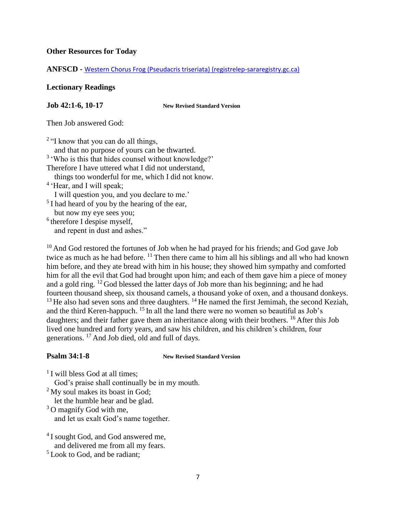# **Other Resources for Today**

**ANFSCD -** [Western Chorus Frog \(Pseudacris triseriata\) \(registrelep-sararegistry.gc.ca\)](https://www.registrelep-sararegistry.gc.ca/virtual_sara/files/cosewic/sr_western_chorus_frog_0808_e.pdf)

# **Lectionary Readings**

**Job 42:1-6, 10-17 New Revised Standard Version**

Then Job answered God:

 $2$  "I know that you can do all things,

 and that no purpose of yours can be thwarted. <sup>3</sup> 'Who is this that hides counsel without knowledge?'

Therefore I have uttered what I did not understand,

things too wonderful for me, which I did not know.

<sup>4</sup> 'Hear, and I will speak;

I will question you, and you declare to me.'

<sup>5</sup> I had heard of you by the hearing of the ear, but now my eye sees you;

<sup>6</sup> therefore I despise myself, and repent in dust and ashes."

<sup>10</sup> And God restored the fortunes of Job when he had prayed for his friends; and God gave Job twice as much as he had before. <sup>11</sup> Then there came to him all his siblings and all who had known him before, and they ate bread with him in his house; they showed him sympathy and comforted him for all the evil that God had brought upon him; and each of them gave him a piece of money and a gold ring. <sup>12</sup> God blessed the latter days of Job more than his beginning; and he had fourteen thousand sheep, six thousand camels, a thousand yoke of oxen, and a thousand donkeys.  $13$  He also had seven sons and three daughters.  $14$  He named the first Jemimah, the second Keziah, and the third Keren-happuch. <sup>15</sup> In all the land there were no women so beautiful as Job's daughters; and their father gave them an inheritance along with their brothers. <sup>16</sup> After this Job lived one hundred and forty years, and saw his children, and his children's children, four generations. <sup>17</sup> And Job died, old and full of days.

**Psalm 34:1-8 New Revised Standard Version** 

<sup>1</sup> I will bless God at all times;

God's praise shall continually be in my mouth.

 $2^2$  My soul makes its boast in God;

let the humble hear and be glad.

 $3$  O magnify God with me, and let us exalt God's name together.

<sup>4</sup> I sought God, and God answered me, and delivered me from all my fears.

 $<sup>5</sup>$  Look to God, and be radiant:</sup>